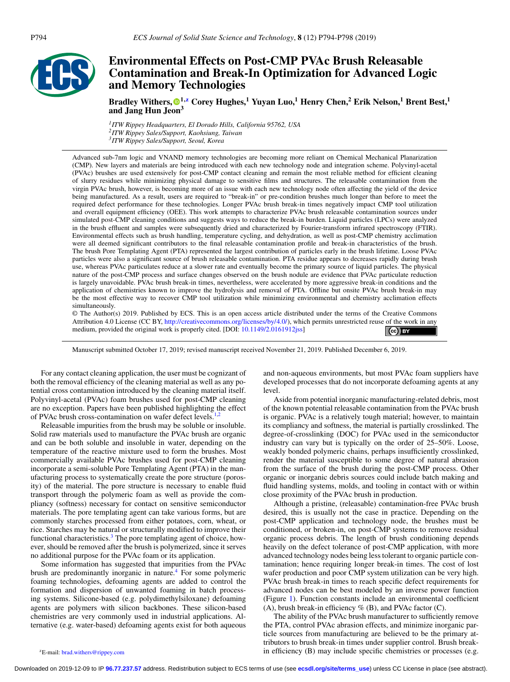

# **Environmental Effects on Post-CMP PVAc Brush Releasable Contamination and Break-In Optimization for Advanced Logic and Memory Technologies**

**Bradley Withers, 1,z Corey Hughes,<sup>1</sup> Yuyan Luo,<sup>1</sup> Henry Chen,<sup>2</sup> Erik Nelson,1 Brent Best,1 and Jang Hun Je[on](#page-4-0)3**

*1ITW Rippey Headquarters, El Dorado Hills, California 95762, USA 2ITW Rippey Sales/Support, Kaohsiung, Taiwan 3ITW Rippey Sales/Support, Seoul, Korea*

Advanced sub-7nm logic and VNAND memory technologies are becoming more reliant on Chemical Mechanical Planarization (CMP). New layers and materials are being introduced with each new technology node and integration scheme. Polyvinyl-acetal (PVAc) brushes are used extensively for post-CMP contact cleaning and remain the most reliable method for efficient cleaning of slurry residues while minimizing physical damage to sensitive films and structures. The releasable contamination from the virgin PVAc brush, however, is becoming more of an issue with each new technology node often affecting the yield of the device being manufactured. As a result, users are required to "break-in" or pre-condition brushes much longer than before to meet the required defect performance for these technologies. Longer PVAc brush break-in times negatively impact CMP tool utilization and overall equipment efficiency (OEE). This work attempts to characterize PVAc brush releasable contamination sources under simulated post-CMP cleaning conditions and suggests ways to reduce the break-in burden. Liquid particles (LPCs) were analyzed in the brush effluent and samples were subsequently dried and characterized by Fourier-transform infrared spectroscopy (FTIR). Environmental effects such as brush handling, temperature cycling, and dehydration, as well as post-CMP chemistry acclimation were all deemed significant contributors to the final releasable contamination profile and break-in characteristics of the brush. The brush Pore Templating Agent (PTA) represented the largest contribution of particles early in the brush lifetime. Loose PVAc particles were also a significant source of brush releasable contamination. PTA residue appears to decreases rapidly during brush use, whereas PVAc particulates reduce at a slower rate and eventually become the primary source of liquid particles. The physical nature of the post-CMP process and surface changes observed on the brush nodule are evidence that PVAc particulate reduction is largely unavoidable. PVAc brush break-in times, nevertheless, were accelerated by more aggressive break-in conditions and the application of chemistries known to improve the hydrolysis and removal of PTA. Offline but onsite PVAc brush break-in may be the most effective way to recover CMP tool utilization while minimizing environmental and chemistry acclimation effects simultaneously.

© The Author(s) 2019. Published by ECS. This is an open access article distributed under the terms of the Creative Commons Attribution 4.0 License (CC BY, [http://creativecommons.org/licenses/by/4.0/\)](http://creativecommons.org/licenses/by/4.0/), which permits unrestricted reuse of the work in any medium, provided the original work is properly cited. [DOI: [10.1149/2.0161912jss\]](http://dx.doi.org/10.1149/2.0161912jss)  $\left(\text{ce}\right)$  BY

Manuscript submitted October 17, 2019; revised manuscript received November 21, 2019. Published December 6, 2019.

For any contact cleaning application, the user must be cognizant of both the removal efficiency of the cleaning material as well as any potential cross contamination introduced by the cleaning material itself. Polyvinyl-acetal (PVAc) foam brushes used for post-CMP cleaning are no exception. Papers have been published highlighting the effect of PVAc brush cross-contamination on wafer defect levels.<sup>1</sup>

Releasable impurities from the brush may be soluble or insoluble. Solid raw materials used to manufacture the PVAc brush are organic and can be both soluble and insoluble in water, depending on the temperature of the reactive mixture used to form the brushes. Most commercially available PVAc brushes used for post-CMP cleaning incorporate a semi-soluble Pore Templating Agent (PTA) in the manufacturing process to systematically create the pore structure (porosity) of the material. The pore structure is necessary to enable fluid transport through the polymeric foam as well as provide the compliancy (softness) necessary for contact on sensitive semiconductor materials. The pore templating agent can take various forms, but are commonly starches processed from either potatoes, corn, wheat, or rice. Starches may be natural or structurally modified to improve their functional characteristics.<sup>3</sup> The pore templating agent of choice, however, should be removed after the brush is polymerized, since it serves no additional purpose for the PVAc foam or its application.

Some information has suggested that impurities from the PVAc brush are predominantly inorganic in nature.<sup>4</sup> For some polymeric foaming technologies, defoaming agents are added to control the formation and dispersion of unwanted foaming in batch processing systems. Silicone-based (e.g. polydimethylsiloxane) defoaming agents are polymers with silicon backbones. These silicon-based chemistries are very commonly used in industrial applications. Alternative (e.g. water-based) defoaming agents exist for both aqueous

and non-aqueous environments, but most PVAc foam suppliers have developed processes that do not incorporate defoaming agents at any level.

Aside from potential inorganic manufacturing-related debris, most of the known potential releasable contamination from the PVAc brush is organic. PVAc is a relatively tough material; however, to maintain its compliancy and softness, the material is partially crosslinked. The degree-of-crosslinking (DOC) for PVAc used in the semiconductor industry can vary but is typically on the order of 25–50%. Loose, weakly bonded polymeric chains, perhaps insufficiently crosslinked, render the material susceptible to some degree of natural abrasion from the surface of the brush during the post-CMP process. Other organic or inorganic debris sources could include batch making and fluid handling systems, molds, and tooling in contact with or within close proximity of the PVAc brush in production.

Although a pristine, (releasable) contamination-free PVAc brush desired, this is usually not the case in practice. Depending on the post-CMP application and technology node, the brushes must be conditioned, or broken-in, on post-CMP systems to remove residual organic process debris. The length of brush conditioning depends heavily on the defect tolerance of post-CMP application, with more advanced technology nodes being less tolerant to organic particle contamination; hence requiring longer break-in times. The cost of lost wafer production and poor CMP system utilization can be very high. PVAc brush break-in times to reach specific defect requirements for advanced nodes can be best modeled by an inverse power function (Figure [1\)](#page-1-0). Function constants include an environmental coefficient (A), brush break-in efficiency  $\%$  (B), and PVAc factor (C).

The ability of the PVAc brush manufacturer to sufficiently remove the PTA, control PVAc abrasion effects, and minimize inorganic particle sources from manufacturing are believed to be the primary attributors to brush break-in times under supplier control. Brush breakin efficiency (B) may include specific chemistries or processes (e.g.

zE-mail: [brad.withers@rippey.com](mailto:brad.withers@rippey.com)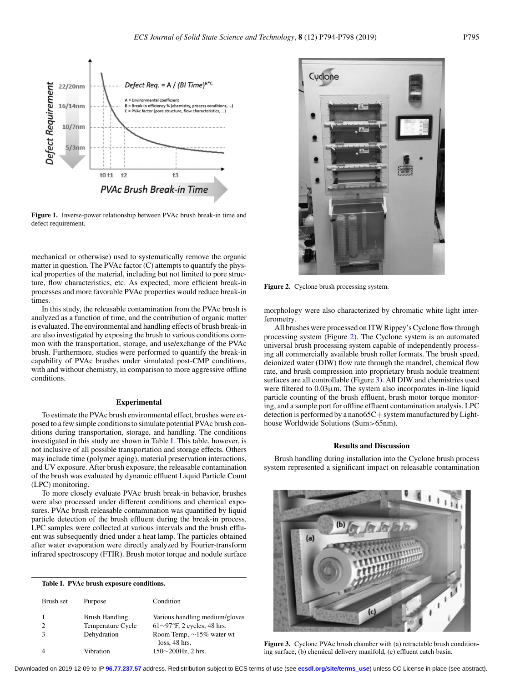<span id="page-1-0"></span>

**Figure 1.** Inverse-power relationship between PVAc brush break-in time and defect requirement.

mechanical or otherwise) used to systematically remove the organic matter in question. The PVAc factor (C) attempts to quantify the physical properties of the material, including but not limited to pore structure, flow characteristics, etc. As expected, more efficient break-in processes and more favorable PVAc properties would reduce break-in times.

In this study, the releasable contamination from the PVAc brush is analyzed as a function of time, and the contribution of organic matter is evaluated. The environmental and handling effects of brush break-in are also investigated by exposing the brush to various conditions common with the transportation, storage, and use/exchange of the PVAc brush. Furthermore, studies were performed to quantify the break-in capability of PVAc brushes under simulated post-CMP conditions, with and without chemistry, in comparison to more aggressive offline conditions.

## **Experimental**

To estimate the PVAc brush environmental effect, brushes were exposed to a few simple conditions to simulate potential PVAc brush conditions during transportation, storage, and handling. The conditions investigated in this study are shown in Table I. This table, however, is not inclusive of all possible transportation and storage effects. Others may include time (polymer aging), material preservation interactions, and UV exposure. After brush exposure, the releasable contamination of the brush was evaluated by dynamic effluent Liquid Particle Count (LPC) monitoring.

To more closely evaluate PVAc brush break-in behavior, brushes were also processed under different conditions and chemical exposures. PVAc brush releasable contamination was quantified by liquid particle detection of the brush effluent during the break-in process. LPC samples were collected at various intervals and the brush effluent was subsequently dried under a heat lamp. The particles obtained after water evaporation were directly analyzed by Fourier-transform infrared spectroscopy (FTIR). Brush motor torque and nodule surface

#### **Table I. PVAc brush exposure conditions.**

| Brush set | Purpose           | Condition                                       |
|-----------|-------------------|-------------------------------------------------|
|           | Brush Handling    | Various handling medium/gloves                  |
|           | Temperature Cycle | $61\sim97$ °F, 2 cycles, 48 hrs.                |
|           | Dehydration       | Room Temp, $\sim$ 15% water wt<br>loss. 48 hrs. |
|           | Vibration         | $150\sim200$ Hz, 2 hrs.                         |



**Figure 2.** Cyclone brush processing system.

morphology were also characterized by chromatic white light interferometry.

All brushes were processed on ITW Rippey's Cyclone flow through processing system (Figure 2). The Cyclone system is an automated universal brush processing system capable of independently processing all commercially available brush roller formats. The brush speed, deionized water (DIW) flow rate through the mandrel, chemical flow rate, and brush compression into proprietary brush nodule treatment surfaces are all controllable (Figure 3). All DIW and chemistries used were filtered to 0.03μm. The system also incorporates in-line liquid particle counting of the brush effluent, brush motor torque monitoring, and a sample port for offline effluent contamination analysis. LPC detection is performed by a nano65C+ system manufactured by Lighthouse Worldwide Solutions (Sum>65nm).

## **Results and Discussion**

Brush handling during installation into the Cyclone brush process system represented a significant impact on releasable contamination



**Figure 3.** Cyclone PVAc brush chamber with (a) retractable brush conditioning surface, (b) chemical delivery manifold, (c) effluent catch basin.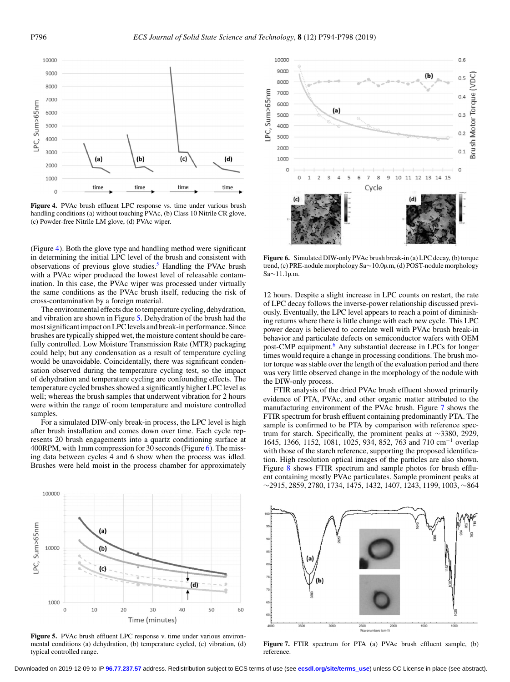

**Figure 4.** PVAc brush effluent LPC response vs. time under various brush handling conditions (a) without touching PVAc, (b) Class 10 Nitrile CR glove, (c) Powder-free Nitrile LM glove, (d) PVAc wiper.

(Figure 4). Both the glove type and handling method were significant in determining the initial LPC level of the brush and consistent with observations of previous glove studies.<sup>5</sup> Handling the PVAc brush with a PVAc wiper produced the lowest level of releasable contamination. In this case, the PVAc wiper was processed under virtually the same conditions as the PVAc brush itself, reducing the risk of cross-contamination by a foreign material.

The environmental effects due to temperature cycling, dehydration, and vibration are shown in Figure 5. Dehydration of the brush had the most significant impact on LPC levels and break-in performance. Since brushes are typically shipped wet, the moisture content should be carefully controlled. Low Moisture Transmission Rate (MTR) packaging could help; but any condensation as a result of temperature cycling would be unavoidable. Coincidentally, there was significant condensation observed during the temperature cycling test, so the impact of dehydration and temperature cycling are confounding effects. The temperature cycled brushes showed a significantly higher LPC level as well; whereas the brush samples that underwent vibration for 2 hours were within the range of room temperature and moisture controlled samples.

For a simulated DIW-only break-in process, the LPC level is high after brush installation and comes down over time. Each cycle represents 20 brush engagements into a quartz conditioning surface at 400RPM, with 1mm compression for 30 seconds (Figure 6). The missing data between cycles 4 and 6 show when the process was idled. Brushes were held moist in the process chamber for approximately



Figure 5. PVAc brush effluent LPC response v. time under various environmental conditions (a) dehydration, (b) temperature cycled, (c) vibration, (d) typical controlled range.



**Figure 6.** Simulated DIW-only PVAc brush break-in (a) LPC decay, (b) torque trend, (c) PRE-nodule morphology Sa∼10.0μm, (d) POST-nodule morphology Sa∼11.1μm.

12 hours. Despite a slight increase in LPC counts on restart, the rate of LPC decay follows the inverse-power relationship discussed previously. Eventually, the LPC level appears to reach a point of diminishing returns where there is little change with each new cycle. This LPC power decay is believed to correlate well with PVAc brush break-in behavior and particulate defects on semiconductor wafers with OEM post-CMP equipment.<sup>6</sup> Any substantial decrease in LPCs for longer times would require a change in processing conditions. The brush motor torque was stable over the length of the evaluation period and there was very little observed change in the morphology of the nodule with the DIW-only process.

FTIR analysis of the dried PVAc brush effluent showed primarily evidence of PTA, PVAc, and other organic matter attributed to the manufacturing environment of the PVAc brush. Figure 7 shows the FTIR spectrum for brush effluent containing predominantly PTA. The sample is confirmed to be PTA by comparison with reference spectrum for starch. Specifically, the prominent peaks at ∼3380, 2929, 1645, 1366, 1152, 1081, 1025, 934, 852, 763 and 710 cm−<sup>1</sup> overlap with those of the starch reference, supporting the proposed identification. High resolution optical images of the particles are also shown. Figure [8](#page-3-0) shows FTIR spectrum and sample photos for brush effluent containing mostly PVAc particulates. Sample prominent peaks at ∼2915, 2859, 2780, 1734, 1475, 1432, 1407, 1243, 1199, 1003, ∼864



**Figure 7.** FTIR spectrum for PTA (a) PVAc brush effluent sample, (b) reference.

Downloaded on 2019-12-09 to IP **96.77.237.57** address. Redistribution subject to ECS terms of use (see **[ecsdl.org/site/terms\\_use](http://ecsdl.org/site/terms_use)**) unless CC License in place (see abstract).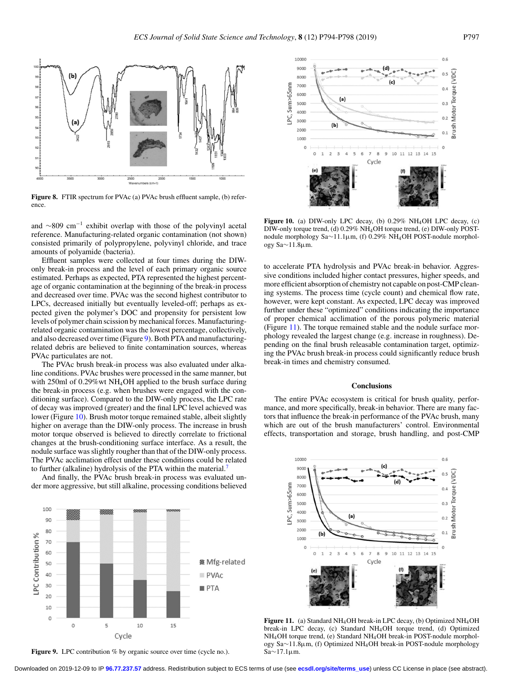<span id="page-3-0"></span>

**Figure 8.** FTIR spectrum for PVAc (a) PVAc brush effluent sample, (b) reference.

and  $\sim$ 809 cm<sup>-1</sup> exhibit overlap with those of the polyvinyl acetal reference. Manufacturing-related organic contamination (not shown) consisted primarily of polypropylene, polyvinyl chloride, and trace amounts of polyamide (bacteria).

Effluent samples were collected at four times during the DIWonly break-in process and the level of each primary organic source estimated. Perhaps as expected, PTA represented the highest percentage of organic contamination at the beginning of the break-in process and decreased over time. PVAc was the second highest contributor to LPCs, decreased initially but eventually leveled-off; perhaps as expected given the polymer's DOC and propensity for persistent low levels of polymer chain scission by mechanical forces. Manufacturingrelated organic contamination was the lowest percentage, collectively, and also decreased over time (Figure 9). Both PTA and manufacturingrelated debris are believed to finite contamination sources, whereas PVAc particulates are not.

The PVAc brush break-in process was also evaluated under alkaline conditions. PVAc brushes were processed in the same manner, but with 250ml of 0.29%wt NH<sub>4</sub>OH applied to the brush surface during the break-in process (e.g. when brushes were engaged with the conditioning surface). Compared to the DIW-only process, the LPC rate of decay was improved (greater) and the final LPC level achieved was lower (Figure 10). Brush motor torque remained stable, albeit slightly higher on average than the DIW-only process. The increase in brush motor torque observed is believed to directly correlate to frictional changes at the brush-conditioning surface interface. As a result, the nodule surface was slightly rougher than that of the DIW-only process. The PVAc acclimation effect under these conditions could be related to further (alkaline) hydrolysis of the PTA within the material.[7](#page-4-0)

And finally, the PVAc brush break-in process was evaluated under more aggressive, but still alkaline, processing conditions believed



Figure 9. LPC contribution % by organic source over time (cycle no.).



**Figure 10.** (a) DIW-only LPC decay, (b)  $0.29\%$  NH<sub>4</sub>OH LPC decay, (c) DIW-only torque trend, (d) 0.29% NH4OH torque trend, (e) DIW-only POSTnodule morphology Sa∼11.1μm, (f) 0.29% NH4OH POST-nodule morphology Sa∼11.8μm.

to accelerate PTA hydrolysis and PVAc break-in behavior. Aggressive conditions included higher contact pressures, higher speeds, and more efficient absorption of chemistry not capable on post-CMP cleaning systems. The process time (cycle count) and chemical flow rate, however, were kept constant. As expected, LPC decay was improved further under these "optimized" conditions indicating the importance of proper chemical acclimation of the porous polymeric material (Figure 11). The torque remained stable and the nodule surface morphology revealed the largest change (e.g. increase in roughness). Depending on the final brush releasable contamination target, optimizing the PVAc brush break-in process could significantly reduce brush break-in times and chemistry consumed.

## **Conclusions**

The entire PVAc ecosystem is critical for brush quality, performance, and more specifically, break-in behavior. There are many factors that influence the break-in performance of the PVAc brush, many which are out of the brush manufacturers' control. Environmental effects, transportation and storage, brush handling, and post-CMP



**Figure 11.** (a) Standard NH4OH break-in LPC decay, (b) Optimized NH4OH break-in LPC decay, (c) Standard NH4OH torque trend, (d) Optimized NH4OH torque trend, (e) Standard NH4OH break-in POST-nodule morphology Sa∼11.8μm, (f) Optimized NH4OH break-in POST-nodule morphology Sa∼17.1μm.